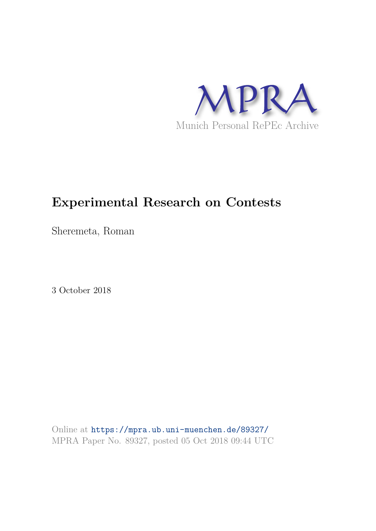

# **Experimental Research on Contests**

Sheremeta, Roman

3 October 2018

Online at https://mpra.ub.uni-muenchen.de/89327/ MPRA Paper No. 89327, posted 05 Oct 2018 09:44 UTC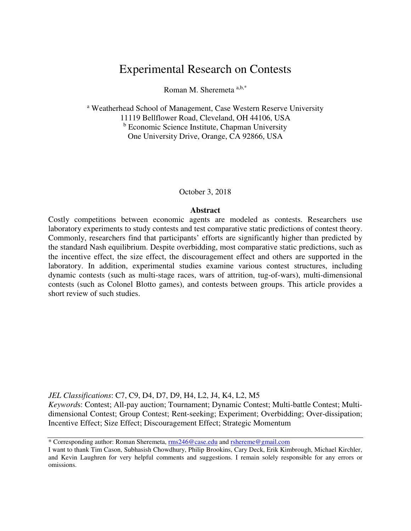# Experimental Research on Contests

Roman M. Sheremeta a,b,\*

<sup>a</sup> Weatherhead School of Management, Case Western Reserve University 11119 Bellflower Road, Cleveland, OH 44106, USA <sup>b</sup> Economic Science Institute, Chapman University One University Drive, Orange, CA 92866, USA

#### October 3, 2018

#### **Abstract**

Costly competitions between economic agents are modeled as contests. Researchers use laboratory experiments to study contests and test comparative static predictions of contest theory. Commonly, researchers find that participants' efforts are significantly higher than predicted by the standard Nash equilibrium. Despite overbidding, most comparative static predictions, such as the incentive effect, the size effect, the discouragement effect and others are supported in the laboratory. In addition, experimental studies examine various contest structures, including dynamic contests (such as multi-stage races, wars of attrition, tug-of-wars), multi-dimensional contests (such as Colonel Blotto games), and contests between groups. This article provides a short review of such studies.

*JEL Classifications*: C7, C9, D4, D7, D9, H4, L2, J4, K4, L2, M5

*Keyword*s: Contest; All-pay auction; Tournament; Dynamic Contest; Multi-battle Contest; Multidimensional Contest; Group Contest; Rent-seeking; Experiment; Overbidding; Over-dissipation; Incentive Effect; Size Effect; Discouragement Effect; Strategic Momentum

<sup>\*</sup> Corresponding author: Roman Sheremeta, rms246@case.edu and rshereme@gmail.com

I want to thank Tim Cason, Subhasish Chowdhury, Philip Brookins, Cary Deck, Erik Kimbrough, Michael Kirchler, and Kevin Laughren for very helpful comments and suggestions. I remain solely responsible for any errors or omissions.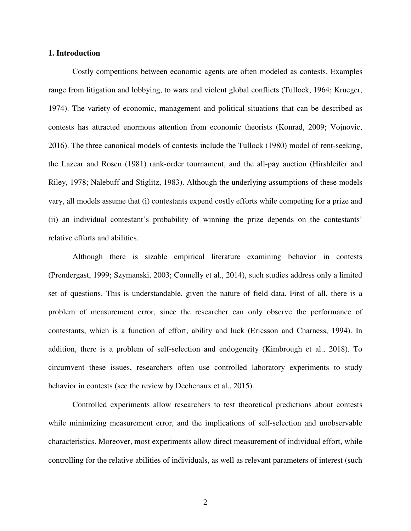#### **1. Introduction**

Costly competitions between economic agents are often modeled as contests. Examples range from litigation and lobbying, to wars and violent global conflicts (Tullock, 1964; Krueger, 1974). The variety of economic, management and political situations that can be described as contests has attracted enormous attention from economic theorists (Konrad, 2009; Vojnovic, 2016). The three canonical models of contests include the Tullock (1980) model of rent-seeking, the Lazear and Rosen (1981) rank-order tournament, and the all-pay auction (Hirshleifer and Riley, 1978; Nalebuff and Stiglitz, 1983). Although the underlying assumptions of these models vary, all models assume that (i) contestants expend costly efforts while competing for a prize and (ii) an individual contestant's probability of winning the prize depends on the contestants' relative efforts and abilities.

Although there is sizable empirical literature examining behavior in contests (Prendergast, 1999; Szymanski, 2003; Connelly et al., 2014), such studies address only a limited set of questions. This is understandable, given the nature of field data. First of all, there is a problem of measurement error, since the researcher can only observe the performance of contestants, which is a function of effort, ability and luck (Ericsson and Charness, 1994). In addition, there is a problem of self-selection and endogeneity (Kimbrough et al., 2018). To circumvent these issues, researchers often use controlled laboratory experiments to study behavior in contests (see the review by Dechenaux et al., 2015).

Controlled experiments allow researchers to test theoretical predictions about contests while minimizing measurement error, and the implications of self-selection and unobservable characteristics. Moreover, most experiments allow direct measurement of individual effort, while controlling for the relative abilities of individuals, as well as relevant parameters of interest (such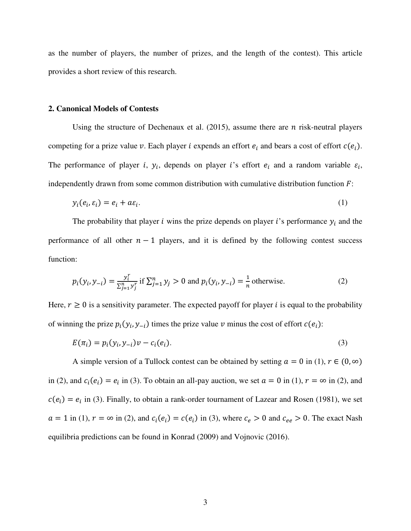as the number of players, the number of prizes, and the length of the contest). This article provides a short review of this research.

#### **2. Canonical Models of Contests**

Using the structure of Dechenaux et al.  $(2015)$ , assume there are *n* risk-neutral players competing for a prize value v. Each player *i* expends an effort  $e_i$  and bears a cost of effort  $c(e_i)$ . The performance of player *i*,  $y_i$ , depends on player *i*'s effort  $e_i$  and a random variable  $\varepsilon_i$ , independently drawn from some common distribution with cumulative distribution function  $F$ :

$$
y_i(e_i, \varepsilon_i) = e_i + a\varepsilon_i. \tag{1}
$$

The probability that player *i* wins the prize depends on player *i*'s performance  $y_i$  and the performance of all other  $n - 1$  players, and it is defined by the following contest success function:

$$
p_i(y_i, y_{-i}) = \frac{y_i^r}{\sum_{j=1}^n y_j^r} \text{ if } \sum_{j=1}^n y_j > 0 \text{ and } p_i(y_i, y_{-i}) = \frac{1}{n} \text{ otherwise.}
$$
 (2)

Here,  $r \ge 0$  is a sensitivity parameter. The expected payoff for player *i* is equal to the probability of winning the prize  $p_i(y_i, y_{-i})$  times the prize value v minus the cost of effort  $c(e_i)$ :

$$
E(\pi_i) = p_i(y_i, y_{-i})v - c_i(e_i).
$$
\n(3)

A simple version of a Tullock contest can be obtained by setting  $a = 0$  in (1),  $r \in (0, \infty)$ in (2), and  $c_i(e_i) = e_i$  in (3). To obtain an all-pay auction, we set  $a = 0$  in (1),  $r = \infty$  in (2), and  $c(e_i) = e_i$  in (3). Finally, to obtain a rank-order tournament of Lazear and Rosen (1981), we set  $a = 1$  in (1),  $r = \infty$  in (2), and  $c_i(e_i) = c(e_i)$  in (3), where  $c_e > 0$  and  $c_{ee} > 0$ . The exact Nash equilibria predictions can be found in Konrad (2009) and Vojnovic (2016).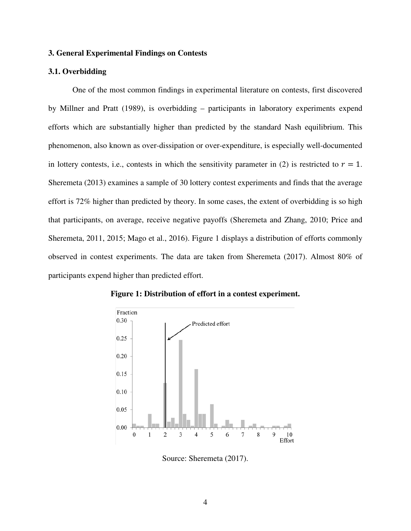# **3. General Experimental Findings on Contests**

### **3.1. Overbidding**

One of the most common findings in experimental literature on contests, first discovered by Millner and Pratt (1989), is overbidding – participants in laboratory experiments expend efforts which are substantially higher than predicted by the standard Nash equilibrium. This phenomenon, also known as over-dissipation or over-expenditure, is especially well-documented in lottery contests, i.e., contests in which the sensitivity parameter in (2) is restricted to  $r = 1$ . Sheremeta (2013) examines a sample of 30 lottery contest experiments and finds that the average effort is 72% higher than predicted by theory. In some cases, the extent of overbidding is so high that participants, on average, receive negative payoffs (Sheremeta and Zhang, 2010; Price and Sheremeta, 2011, 2015; Mago et al., 2016). Figure 1 displays a distribution of efforts commonly observed in contest experiments. The data are taken from Sheremeta (2017). Almost 80% of participants expend higher than predicted effort.



**Figure 1: Distribution of effort in a contest experiment.**

Source: Sheremeta (2017).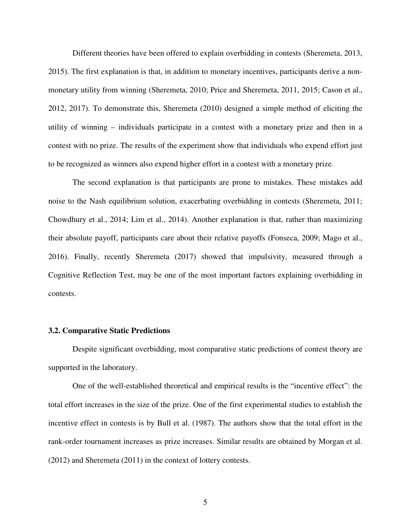Different theories have been offered to explain overbidding in contests (Sheremeta, 2013, 2015). The first explanation is that, in addition to monetary incentives, participants derive a nonmonetary utility from winning (Sheremeta, 2010; Price and Sheremeta, 2011, 2015; Cason et al., 2012, 2017). To demonstrate this, Sheremeta (2010) designed a simple method of eliciting the utility of winning – individuals participate in a contest with a monetary prize and then in a contest with no prize. The results of the experiment show that individuals who expend effort just to be recognized as winners also expend higher effort in a contest with a monetary prize.

The second explanation is that participants are prone to mistakes. These mistakes add noise to the Nash equilibrium solution, exacerbating overbidding in contests (Sheremeta, 2011; Chowdhury et al., 2014; Lim et al., 2014). Another explanation is that, rather than maximizing their absolute payoff, participants care about their relative payoffs (Fonseca, 2009; Mago et al., 2016). Finally, recently Sheremeta (2017) showed that impulsivity, measured through a Cognitive Reflection Test, may be one of the most important factors explaining overbidding in contests.

### **3.2. Comparative Static Predictions**

Despite significant overbidding, most comparative static predictions of contest theory are supported in the laboratory.

One of the well-established theoretical and empirical results is the "incentive effect": the total effort increases in the size of the prize. One of the first experimental studies to establish the incentive effect in contests is by Bull et al. (1987). The authors show that the total effort in the rank-order tournament increases as prize increases. Similar results are obtained by Morgan et al. (2012) and Sheremeta (2011) in the context of lottery contests.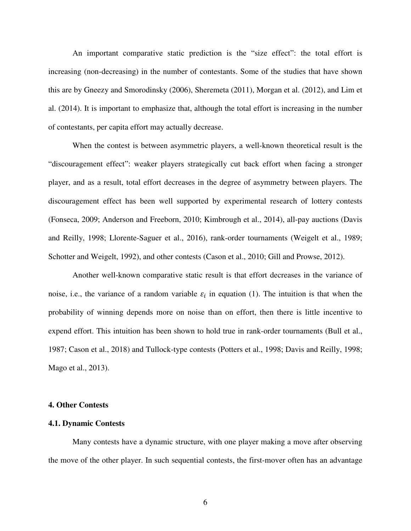An important comparative static prediction is the "size effect": the total effort is increasing (non-decreasing) in the number of contestants. Some of the studies that have shown this are by Gneezy and Smorodinsky (2006), Sheremeta (2011), Morgan et al. (2012), and Lim et al. (2014). It is important to emphasize that, although the total effort is increasing in the number of contestants, per capita effort may actually decrease.

When the contest is between asymmetric players, a well-known theoretical result is the "discouragement effect": weaker players strategically cut back effort when facing a stronger player, and as a result, total effort decreases in the degree of asymmetry between players. The discouragement effect has been well supported by experimental research of lottery contests (Fonseca, 2009; Anderson and Freeborn, 2010; Kimbrough et al., 2014), all-pay auctions (Davis and Reilly, 1998; Llorente-Saguer et al., 2016), rank-order tournaments (Weigelt et al., 1989; Schotter and Weigelt, 1992), and other contests (Cason et al., 2010; Gill and Prowse, 2012).

Another well-known comparative static result is that effort decreases in the variance of noise, i.e., the variance of a random variable  $\varepsilon_i$  in equation (1). The intuition is that when the probability of winning depends more on noise than on effort, then there is little incentive to expend effort. This intuition has been shown to hold true in rank-order tournaments (Bull et al., 1987; Cason et al., 2018) and Tullock-type contests (Potters et al., 1998; Davis and Reilly, 1998; Mago et al., 2013).

### **4. Other Contests**

## **4.1. Dynamic Contests**

Many contests have a dynamic structure, with one player making a move after observing the move of the other player. In such sequential contests, the first-mover often has an advantage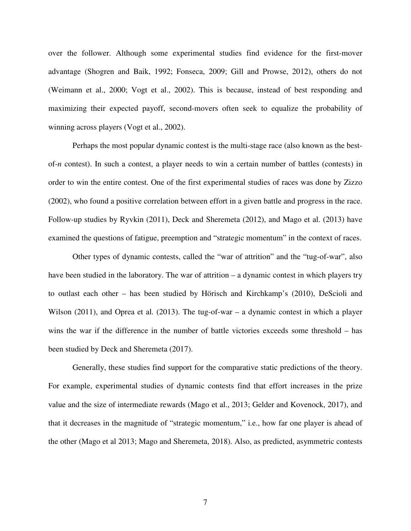over the follower. Although some experimental studies find evidence for the first-mover advantage (Shogren and Baik, 1992; Fonseca, 2009; Gill and Prowse, 2012), others do not (Weimann et al., 2000; Vogt et al., 2002). This is because, instead of best responding and maximizing their expected payoff, second-movers often seek to equalize the probability of winning across players (Vogt et al., 2002).

Perhaps the most popular dynamic contest is the multi-stage race (also known as the bestof-*n* contest). In such a contest, a player needs to win a certain number of battles (contests) in order to win the entire contest. One of the first experimental studies of races was done by Zizzo (2002), who found a positive correlation between effort in a given battle and progress in the race. Follow-up studies by Ryvkin (2011), Deck and Sheremeta (2012), and Mago et al. (2013) have examined the questions of fatigue, preemption and "strategic momentum" in the context of races.

Other types of dynamic contests, called the "war of attrition" and the "tug-of-war", also have been studied in the laboratory. The war of attrition – a dynamic contest in which players try to outlast each other – has been studied by Hörisch and Kirchkamp's (2010), DeScioli and Wilson (2011), and Oprea et al. (2013). The tug-of-war – a dynamic contest in which a player wins the war if the difference in the number of battle victories exceeds some threshold – has been studied by Deck and Sheremeta (2017).

Generally, these studies find support for the comparative static predictions of the theory. For example, experimental studies of dynamic contests find that effort increases in the prize value and the size of intermediate rewards (Mago et al., 2013; Gelder and Kovenock, 2017), and that it decreases in the magnitude of "strategic momentum," i.e., how far one player is ahead of the other (Mago et al 2013; Mago and Sheremeta, 2018). Also, as predicted, asymmetric contests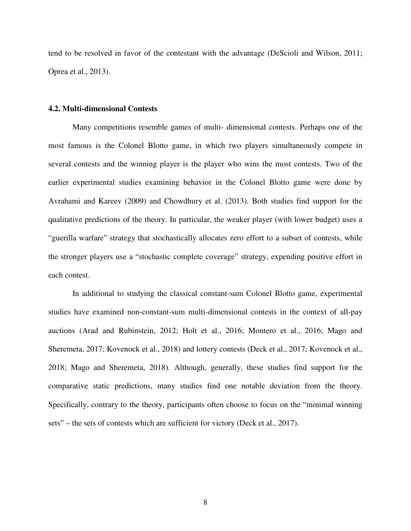tend to be resolved in favor of the contestant with the advantage (DeScioli and Wilson, 2011; Oprea et al., 2013).

#### **4.2. Multi-dimensional Contests**

Many competitions resemble games of multi- dimensional contests. Perhaps one of the most famous is the Colonel Blotto game, in which two players simultaneously compete in several contests and the winning player is the player who wins the most contests. Two of the earlier experimental studies examining behavior in the Colonel Blotto game were done by Avrahami and Kareev (2009) and Chowdhury et al. (2013). Both studies find support for the qualitative predictions of the theory. In particular, the weaker player (with lower budget) uses a "guerilla warfare" strategy that stochastically allocates zero effort to a subset of contests, while the stronger players use a "stochastic complete coverage" strategy, expending positive effort in each contest.

In additional to studying the classical constant-sum Colonel Blotto game, experimental studies have examined non-constant-sum multi-dimensional contests in the context of all-pay auctions (Arad and Rubinstein, 2012; Holt et al., 2016; Montero et al., 2016; Mago and Sheremeta, 2017; Kovenock et al., 2018) and lottery contests (Deck et al., 2017; Kovenock et al., 2018; Mago and Sheremeta, 2018). Although, generally, these studies find support for the comparative static predictions, many studies find one notable deviation from the theory. Specifically, contrary to the theory, participants often choose to focus on the "minimal winning sets" – the sets of contests which are sufficient for victory (Deck et al., 2017).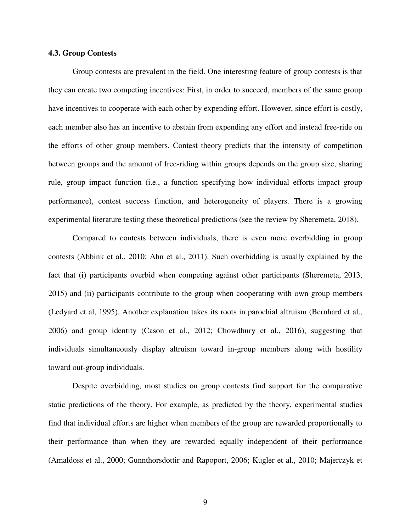# **4.3. Group Contests**

Group contests are prevalent in the field. One interesting feature of group contests is that they can create two competing incentives: First, in order to succeed, members of the same group have incentives to cooperate with each other by expending effort. However, since effort is costly, each member also has an incentive to abstain from expending any effort and instead free-ride on the efforts of other group members. Contest theory predicts that the intensity of competition between groups and the amount of free-riding within groups depends on the group size, sharing rule, group impact function (i.e., a function specifying how individual efforts impact group performance), contest success function, and heterogeneity of players. There is a growing experimental literature testing these theoretical predictions (see the review by Sheremeta, 2018).

Compared to contests between individuals, there is even more overbidding in group contests (Abbink et al., 2010; Ahn et al., 2011). Such overbidding is usually explained by the fact that (i) participants overbid when competing against other participants (Sheremeta, 2013, 2015) and (ii) participants contribute to the group when cooperating with own group members (Ledyard et al, 1995). Another explanation takes its roots in parochial altruism (Bernhard et al., 2006) and group identity (Cason et al., 2012; Chowdhury et al., 2016), suggesting that individuals simultaneously display altruism toward in-group members along with hostility toward out-group individuals.

Despite overbidding, most studies on group contests find support for the comparative static predictions of the theory. For example, as predicted by the theory, experimental studies find that individual efforts are higher when members of the group are rewarded proportionally to their performance than when they are rewarded equally independent of their performance (Amaldoss et al., 2000; Gunnthorsdottir and Rapoport, 2006; Kugler et al., 2010; Majerczyk et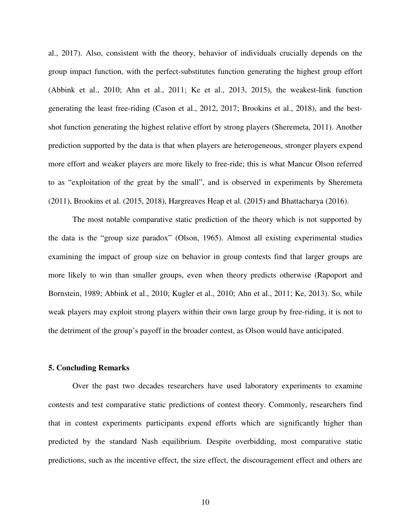al., 2017). Also, consistent with the theory, behavior of individuals crucially depends on the group impact function, with the perfect-substitutes function generating the highest group effort (Abbink et al., 2010; Ahn et al., 2011; Ke et al., 2013, 2015), the weakest-link function generating the least free-riding (Cason et al., 2012, 2017; Brookins et al., 2018), and the bestshot function generating the highest relative effort by strong players (Sheremeta, 2011). Another prediction supported by the data is that when players are heterogeneous, stronger players expend more effort and weaker players are more likely to free-ride; this is what Mancur Olson referred to as "exploitation of the great by the small", and is observed in experiments by Sheremeta (2011), Brookins et al. (2015, 2018), Hargreaves Heap et al. (2015) and Bhattacharya (2016).

The most notable comparative static prediction of the theory which is not supported by the data is the "group size paradox" (Olson, 1965). Almost all existing experimental studies examining the impact of group size on behavior in group contests find that larger groups are more likely to win than smaller groups, even when theory predicts otherwise (Rapoport and Bornstein, 1989; Abbink et al., 2010; Kugler et al., 2010; Ahn et al., 2011; Ke, 2013). So, while weak players may exploit strong players within their own large group by free-riding, it is not to the detriment of the group's payoff in the broader contest, as Olson would have anticipated.

## **5. Concluding Remarks**

Over the past two decades researchers have used laboratory experiments to examine contests and test comparative static predictions of contest theory. Commonly, researchers find that in contest experiments participants expend efforts which are significantly higher than predicted by the standard Nash equilibrium. Despite overbidding, most comparative static predictions, such as the incentive effect, the size effect, the discouragement effect and others are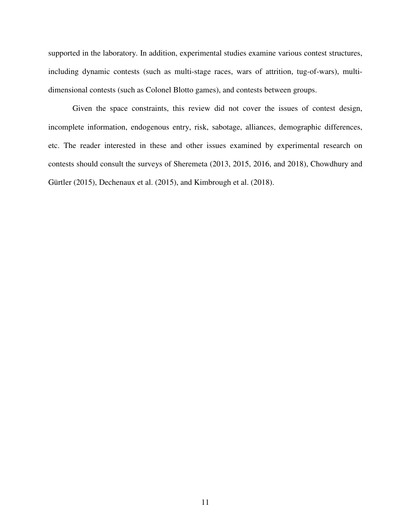supported in the laboratory. In addition, experimental studies examine various contest structures, including dynamic contests (such as multi-stage races, wars of attrition, tug-of-wars), multidimensional contests (such as Colonel Blotto games), and contests between groups.

Given the space constraints, this review did not cover the issues of contest design, incomplete information, endogenous entry, risk, sabotage, alliances, demographic differences, etc. The reader interested in these and other issues examined by experimental research on contests should consult the surveys of Sheremeta (2013, 2015, 2016, and 2018), Chowdhury and Gürtler (2015), Dechenaux et al. (2015), and Kimbrough et al. (2018).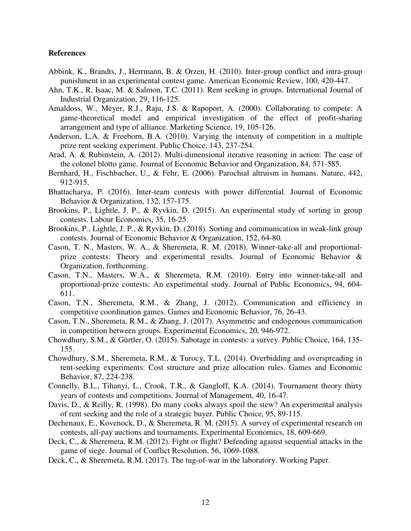# **References**

- Abbink, K., Brandts, J., Herrmann, B. & Orzen, H. (2010). Inter-group conflict and intra-group punishment in an experimental contest game. American Economic Review, 100, 420-447.
- Ahn, T.K., R, Isaac, M. & Salmon, T.C. (2011). Rent seeking in groups. International Journal of Industrial Organization, 29, 116-125.
- Amaldoss, W., Meyer, R.J., Raju, J.S. & Rapoport, A. (2000). Collaborating to compete: A game-theoretical model and empirical investigation of the effect of profit-sharing arrangement and type of alliance. Marketing Science, 19, 105-126.
- Anderson, L.A. & Freeborn, B.A. (2010). Varying the intensity of competition in a multiple prize rent seeking experiment. Public Choice, 143, 237-254.
- Arad, A. & Rubinstein, A. (2012). Multi-dimensional iterative reasoning in action: The case of the colonel blotto game. Journal of Economic Behavior and Organization, 84, 571-585.
- Bernhard, H., Fischbacher, U., & Fehr, E. (2006). Parochial altruism in humans. Nature, 442, 912-915.
- Bhattacharya, P. (2016). Inter-team contests with power differential. Journal of Economic Behavior & Organization, 132, 157-175.
- Brookins, P., Lightle, J. P., & Ryvkin, D. (2015). An experimental study of sorting in group contests. Labour Economics, 35, 16-25.
- Brookins, P., Lightle, J. P., & Ryvkin, D. (2018). Sorting and communication in weak-link group contests. Journal of Economic Behavior & Organization, 152, 64-80.
- Cason, T. N., Masters, W. A., & Sheremeta, R. M. (2018). Winner-take-all and proportionalprize contests: Theory and experimental results. Journal of Economic Behavior & Organization, forthcoming.
- Cason, T.N., Masters, W.A., & Sheremeta, R.M. (2010). Entry into winner-take-all and proportional-prize contests: An experimental study. Journal of Public Economics, 94, 604- 611.
- Cason, T.N., Sheremeta, R.M., & Zhang, J. (2012). Communication and efficiency in competitive coordination games. Games and Economic Behavior, 76, 26-43.
- Cason, T.N., Sheremeta, R.M., & Zhang, J. (2017). Asymmetric and endogenous communication in competition between groups. Experimental Economics, 20, 946-972.
- Chowdhury, S.M., & Gürtler, O. (2015). Sabotage in contests: a survey. Public Choice, 164, 135- 155.
- Chowdhury, S.M., Sheremeta, R.M., & Turocy, T.L. (2014). Overbidding and overspreading in rent-seeking experiments: Cost structure and prize allocation rules. Games and Economic Behavior, 87, 224-238.
- Connelly, B.L., Tihanyi, L., Crook, T.R., & Gangloff, K.A. (2014). Tournament theory thirty years of contests and competitions. Journal of Management, 40, 16-47.
- Davis, D., & Reilly, R. (1998). Do many cooks always spoil the stew? An experimental analysis of rent seeking and the role of a strategic buyer. Public Choice, 95, 89-115.
- Dechenaux, E., Kovenock, D., & Sheremeta, R. M. (2015). A survey of experimental research on contests, all-pay auctions and tournaments. Experimental Economics, 18, 609-669.
- Deck, C., & Sheremeta, R.M. (2012). Fight or flight? Defending against sequential attacks in the game of siege. Journal of Conflict Resolution, 56, 1069-1088.
- Deck, C., & Sheremeta, R.M. (2017). The tug-of-war in the laboratory. Working Paper.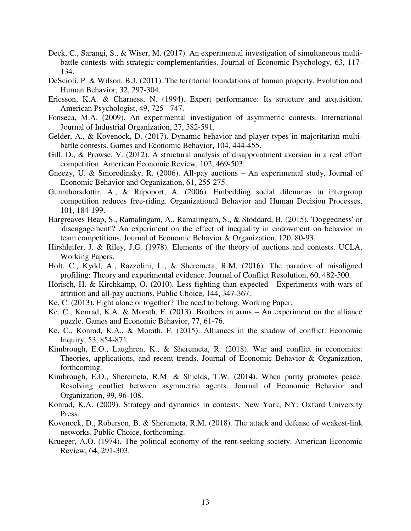- Deck, C., Sarangi, S., & Wiser, M. (2017). An experimental investigation of simultaneous multibattle contests with strategic complementarities. Journal of Economic Psychology, 63, 117- 134.
- DeScioli, P. & Wilson, B.J. (2011). The territorial foundations of human property. Evolution and Human Behavior, 32, 297-304.
- Ericsson, K.A. & Charness, N. (1994). Expert performance: Its structure and acquisition. American Psychologist, 49, 725 - 747.
- Fonseca, M.A. (2009). An experimental investigation of asymmetric contests. International Journal of Industrial Organization, 27, 582-591.
- Gelder, A., & Kovenock, D. (2017). Dynamic behavior and player types in majoritarian multibattle contests. Games and Economic Behavior, 104, 444-455.
- Gill, D., & Prowse, V. (2012). A structural analysis of disappointment aversion in a real effort competition. American Economic Review, 102, 469-503.
- Gneezy, U. & Smorodinsky, R. (2006). All-pay auctions An experimental study. Journal of Economic Behavior and Organization, 61, 255-275.
- Gunnthorsdottir, A., & Rapoport, A. (2006). Embedding social dilemmas in intergroup competition reduces free-riding. Organizational Behavior and Human Decision Processes, 101, 184-199.
- Hargreaves Heap, S., Ramalingam, A., Ramalingam, S., & Stoddard, B. (2015). 'Doggedness' or 'disengagement'? An experiment on the effect of inequality in endowment on behavior in team competitions. Journal of Economic Behavior & Organization, 120, 80-93.
- Hirshleifer, J. & Riley, J.G. (1978). Elements of the theory of auctions and contests. UCLA, Working Papers.
- Holt, C., Kydd, A., Razzolini, L., & Sheremeta, R.M. (2016). The paradox of misaligned profiling: Theory and experimental evidence. Journal of Conflict Resolution, 60, 482-500.
- Hörisch, H. & Kirchkamp, O. (2010). Less fighting than expected Experiments with wars of attrition and all-pay auctions. Public Choice, 144, 347-367.
- Ke, C. (2013). Fight alone or together? The need to belong. Working Paper.
- Ke, C., Konrad, K.A. & Morath, F. (2013). Brothers in arms An experiment on the alliance puzzle. Games and Economic Behavior, 77, 61-76.
- Ke, C., Konrad, K.A., & Morath, F. (2015). Alliances in the shadow of conflict. Economic Inquiry, 53, 854-871.
- Kimbrough, E.O., Laughren, K., & Sheremeta, R. (2018). War and conflict in economics: Theories, applications, and recent trends. Journal of Economic Behavior & Organization, forthcoming.
- Kimbrough, E.O., Sheremeta, R.M. & Shields, T.W. (2014). When parity promotes peace: Resolving conflict between asymmetric agents. Journal of Economic Behavior and Organization, 99, 96-108.
- Konrad, K.A. (2009). Strategy and dynamics in contests. New York, NY: Oxford University Press.
- Kovenock, D., Roberson, B. & Sheremeta, R.M. (2018). The attack and defense of weakest-link networks. Public Choice, forthcoming.
- Krueger, A.O. (1974). The political economy of the rent-seeking society. American Economic Review, 64, 291-303.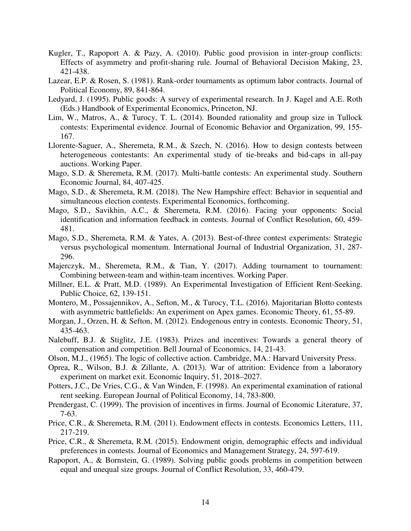- Kugler, T., Rapoport A. & Pazy, A. (2010). Public good provision in inter-group conflicts: Effects of asymmetry and profit-sharing rule. Journal of Behavioral Decision Making, 23, 421-438.
- Lazear, E.P. & Rosen, S. (1981). Rank-order tournaments as optimum labor contracts. Journal of Political Economy, 89, 841-864.
- Ledyard, J. (1995). Public goods: A survey of experimental research. In J. Kagel and A.E. Roth (Eds.) Handbook of Experimental Economics, Princeton, NJ.
- Lim, W., Matros, A., & Turocy, T. L. (2014). Bounded rationality and group size in Tullock contests: Experimental evidence. Journal of Economic Behavior and Organization, 99, 155- 167.
- Llorente-Saguer, A., Sheremeta, R.M., & Szech, N. (2016). How to design contests between heterogeneous contestants: An experimental study of tie-breaks and bid-caps in all-pay auctions. Working Paper.
- Mago, S.D. & Sheremeta, R.M. (2017). Multi-battle contests: An experimental study. Southern Economic Journal, 84, 407-425.
- Mago, S.D., & Sheremeta, R.M. (2018). The New Hampshire effect: Behavior in sequential and simultaneous election contests. Experimental Economics, forthcoming.
- Mago, S.D., Savikhin, A.C., & Sheremeta, R.M. (2016). Facing your opponents: Social identification and information feedback in contests. Journal of Conflict Resolution, 60, 459- 481.
- Mago, S.D., Sheremeta, R.M. & Yates, A. (2013). Best-of-three contest experiments: Strategic versus psychological momentum. International Journal of Industrial Organization, 31, 287- 296.
- Majerczyk, M., Sheremeta, R.M., & Tian, Y. (2017). Adding tournament to tournament: Combining between-team and within-team incentives. Working Paper.
- Millner, E.L. & Pratt, M.D. (1989). An Experimental Investigation of Efficient Rent-Seeking. Public Choice, 62, 139-151.
- Montero, M., Possajennikov, A., Sefton, M., & Turocy, T.L. (2016). Majoritarian Blotto contests with asymmetric battlefields: An experiment on Apex games. Economic Theory, 61, 55-89.
- Morgan, J., Orzen, H. & Sefton, M. (2012). Endogenous entry in contests. Economic Theory, 51, 435-463.
- Nalebuff, B.J. & Stiglitz, J.E. (1983). Prizes and incentives: Towards a general theory of compensation and competition. Bell Journal of Economics, 14, 21-43.
- Olson, M.J., (1965). The logic of collective action. Cambridge, MA.: Harvard University Press.
- Oprea, R., Wilson, B.J. & Zillante, A. (2013). War of attrition: Evidence from a laboratory experiment on market exit. Economic Inquiry, 51, 2018–2027.
- Potters, J.C., De Vries, C.G., & Van Winden, F. (1998). An experimental examination of rational rent seeking. European Journal of Political Economy, 14, 783-800.
- Prendergast, C. (1999). The provision of incentives in firms. Journal of Economic Literature, 37, 7-63.
- Price, C.R., & Sheremeta, R.M. (2011). Endowment effects in contests. Economics Letters, 111, 217-219.
- Price, C.R., & Sheremeta, R.M. (2015). Endowment origin, demographic effects and individual preferences in contests. Journal of Economics and Management Strategy, 24, 597-619.
- Rapoport, A., & Bornstein, G. (1989). Solving public goods problems in competition between equal and unequal size groups. Journal of Conflict Resolution, 33, 460-479.